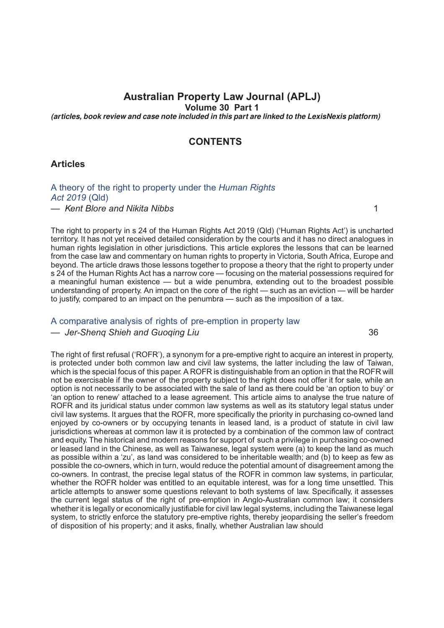# **Australian Property Law Journal (APLJ)**

**Volume 30 Part 1**

*(articles, book review and case note included in this part are linked to the LexisNexis platform)*

#### **CONTENTS**

**Articles**

## [A theory of the right to property under the](http://advance.lexis.com/api/document?idtype=DOC-ID&id=005N-30APLJ1) *Human Rights [Act 2019](http://advance.lexis.com/api/document?idtype=DOC-ID&id=005N-30APLJ1)* (Qld)

*— Kent Blore and Nikita Nibbs* 1

The right to property in s 24 of the Human Rights Act 2019 (Qld) ('Human Rights Act') is uncharted territory. It has not yet received detailed consideration by the courts and it has no direct analogues in human rights legislation in other jurisdictions. This article explores the lessons that can be learned from the case law and commentary on human rights to property in Victoria, South Africa, Europe and beyond. The article draws those lessons together to propose a theory that the right to property under s 24 of the Human Rights Act has a narrow core — focusing on the material possessions required for a meaningful human existence — but a wide penumbra, extending out to the broadest possible understanding of property. An impact on the core of the right — such as an eviction — will be harder to justify, compared to an impact on the penumbra — such as the imposition of a tax.

# [A comparative analysis of rights of pre-emption in property law](http://advance.lexis.com/api/document?idtype=DOC-ID&id=005N-30APLJ36)

#### *— Jer-Sheng Shieh and Guoging Liu* 36

The right of first refusal ('ROFR'), a synonym for a pre-emptive right to acquire an interest in property, is protected under both common law and civil law systems, the latter including the law of Taiwan, which is the special focus of this paper. A ROFR is distinguishable from an option in that the ROFR will not be exercisable if the owner of the property subject to the right does not offer it for sale, while an option is not necessarily to be associated with the sale of land as there could be 'an option to buy' or 'an option to renew' attached to a lease agreement. This article aims to analyse the true nature of ROFR and its juridical status under common law systems as well as its statutory legal status under civil law systems. It argues that the ROFR, more specifically the priority in purchasing co-owned land enjoyed by co-owners or by occupying tenants in leased land, is a product of statute in civil law jurisdictions whereas at common law it is protected by a combination of the common law of contract and equity. The historical and modern reasons for support of such a privilege in purchasing co-owned or leased land in the Chinese, as well as Taiwanese, legal system were (a) to keep the land as much as possible within a 'zu', as land was considered to be inheritable wealth; and (b) to keep as few as possible the co-owners, which in turn, would reduce the potential amount of disagreement among the co-owners. In contrast, the precise legal status of the ROFR in common law systems, in particular, whether the ROFR holder was entitled to an equitable interest, was for a long time unsettled. This article attempts to answer some questions relevant to both systems of law. Specifically, it assesses the current legal status of the right of pre-emption in Anglo-Australian common law; it considers whether it is legally or economically justifiable for civil law legal systems, including the Taiwanese legal system, to strictly enforce the statutory pre-emptive rights, thereby jeopardising the seller's freedom of disposition of his property; and it asks, finally, whether Australian law should